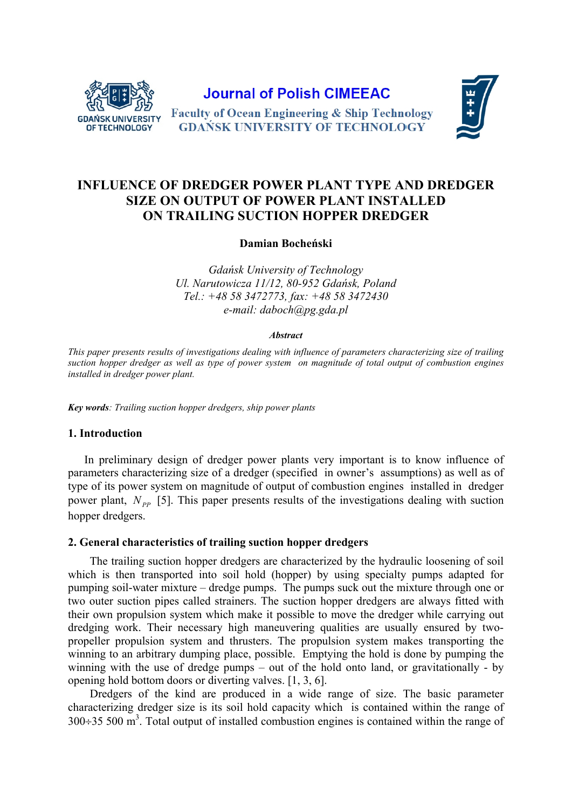

**Journal of Polish CIMEEAC** 



**Faculty of Ocean Engineering & Ship Technology GDAŃSK UNIVERSITY OF TECHNOLOGY** 

# **INFLUENCE OF DREDGER POWER PLANT TYPE AND DREDGER SIZE ON OUTPUT OF POWER PLANT INSTALLED ON TRAILING SUCTION HOPPER DREDGER**

**Damian Bocheński** 

*Gdańsk University of Technology Ul. Narutowicza 11/12, 80-952 Gdańsk, Poland Tel.: +48 58 3472773, fax: +48 58 3472430 e-mail: daboch@pg.gda.pl* 

#### *Abstract*

*This paper presents results of investigations dealing with influence of parameters characterizing size of trailing suction hopper dredger as well as type of power system on magnitude of total output of combustion engines installed in dredger power plant.* 

*Key words: Trailing suction hopper dredgers, ship power plants* 

### **1. Introduction**

In preliminary design of dredger power plants very important is to know influence of parameters characterizing size of a dredger (specified in owner's assumptions) as well as of type of its power system on magnitude of output of combustion engines installed in dredger power plant,  $N_{pp}$  [5]. This paper presents results of the investigations dealing with suction hopper dredgers.

## **2. General characteristics of trailing suction hopper dredgers**

The trailing suction hopper dredgers are characterized by the hydraulic loosening of soil which is then transported into soil hold (hopper) by using specialty pumps adapted for pumping soil-water mixture – dredge pumps. The pumps suck out the mixture through one or two outer suction pipes called strainers. The suction hopper dredgers are always fitted with their own propulsion system which make it possible to move the dredger while carrying out dredging work. Their necessary high maneuvering qualities are usually ensured by twopropeller propulsion system and thrusters. The propulsion system makes transporting the winning to an arbitrary dumping place, possible. Emptying the hold is done by pumping the winning with the use of dredge pumps – out of the hold onto land, or gravitationally - by opening hold bottom doors or diverting valves. [1, 3, 6].

Dredgers of the kind are produced in a wide range of size. The basic parameter characterizing dredger size is its soil hold capacity which is contained within the range of  $300\div 35$  500 m<sup>3</sup>. Total output of installed combustion engines is contained within the range of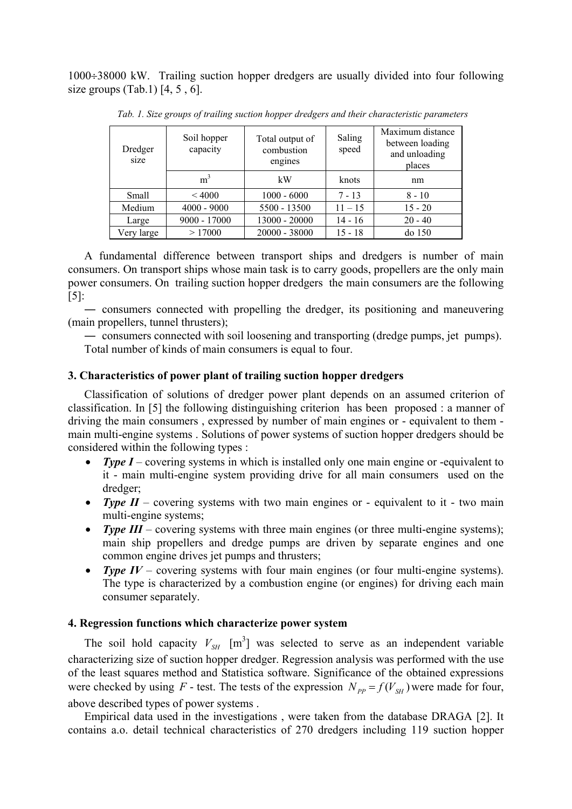$1000\div 38000$  kW. Trailing suction hopper dredgers are usually divided into four following size groups  $(Tab.1)$   $[4, 5, 6]$ .

| Dredger<br>size | Soil hopper<br>capacity | Total output of<br>combustion<br>engines | Saling<br>speed | Maximum distance<br>between loading<br>and unloading<br>places |  |
|-----------------|-------------------------|------------------------------------------|-----------------|----------------------------------------------------------------|--|
|                 | m <sup>3</sup>          | kW                                       | knots           | nm                                                             |  |
| Small           | < 4000                  | $1000 - 6000$                            | $7 - 13$        | $8 - 10$                                                       |  |
| Medium          | $4000 - 9000$           | 5500 - 13500                             | $11 - 15$       | $15 - 20$                                                      |  |
| Large           | $9000 - 17000$          | 13000 - 20000                            | $14 - 16$       | $20 - 40$                                                      |  |
| Very large      | >17000                  | $20000 - 38000$                          | $15 - 18$       | do 150                                                         |  |

*Tab. 1. Size groups of trailing suction hopper dredgers and their characteristic parameters* 

A fundamental difference between transport ships and dredgers is number of main consumers. On transport ships whose main task is to carry goods, propellers are the only main power consumers. On trailing suction hopper dredgers the main consumers are the following  $[5]$ :

― consumers connected with propelling the dredger, its positioning and maneuvering (main propellers, tunnel thrusters);

― consumers connected with soil loosening and transporting (dredge pumps, jet pumps). Total number of kinds of main consumers is equal to four.

# **3. Characteristics of power plant of trailing suction hopper dredgers**

Classification of solutions of dredger power plant depends on an assumed criterion of classification. In [5] the following distinguishing criterion has been proposed : a manner of driving the main consumers , expressed by number of main engines or - equivalent to them main multi-engine systems . Solutions of power systems of suction hopper dredgers should be considered within the following types :

- *Type I* covering systems in which is installed only one main engine or -equivalent to it - main multi-engine system providing drive for all main consumers used on the dredger;
- *Type II* covering systems with two main engines or equivalent to it two main multi-engine systems;
- *Type III* covering systems with three main engines (or three multi-engine systems); main ship propellers and dredge pumps are driven by separate engines and one common engine drives jet pumps and thrusters;
- *Type IV* covering systems with four main engines (or four multi-engine systems). The type is characterized by a combustion engine (or engines) for driving each main consumer separately.

# **4. Regression functions which characterize power system**

The soil hold capacity  $V_{SH}$   $[m^3]$  was selected to serve as an independent variable characterizing size of suction hopper dredger. Regression analysis was performed with the use of the least squares method and Statistica software. Significance of the obtained expressions were checked by using *F* - test. The tests of the expression  $N_{pp} = f(V_{SH})$  were made for four, above described types of power systems .

Empirical data used in the investigations , were taken from the database DRAGA [2]. It contains a.o. detail technical characteristics of 270 dredgers including 119 suction hopper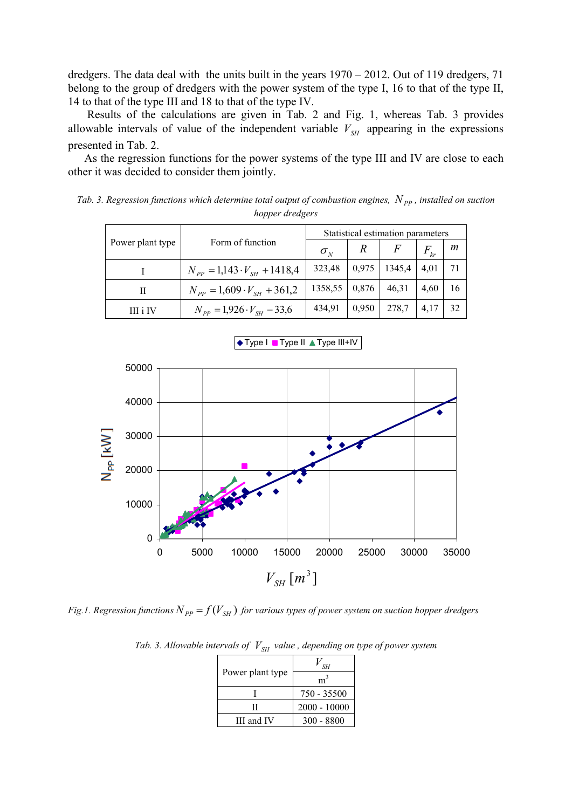dredgers. The data deal with the units built in the years  $1970 - 2012$ . Out of 119 dredgers, 71 belong to the group of dredgers with the power system of the type I, 16 to that of the type II, 14 to that of the type III and 18 to that of the type IV.

 Results of the calculations are given in Tab. 2 and Fig. 1, whereas Tab. 3 provides allowable intervals of value of the independent variable  $V_{SH}$  appearing in the expressions presented in Tab. 2.

As the regression functions for the power systems of the type III and IV are close to each other it was decided to consider them jointly.

*Tab. 3. Regression functions which determine total output of combustion engines, N<sub>PP</sub>, installed on suction* 

|                  | Form of function                       | Statistical estimation parameters |               |        |                              |    |
|------------------|----------------------------------------|-----------------------------------|---------------|--------|------------------------------|----|
| Power plant type |                                        | $\sigma_{N}$                      | $\mathcal{R}$ |        | $F_{\scriptscriptstyle{kr}}$ | m  |
|                  | $N_{pp} = 1,143 \cdot V_{SH} + 1418,4$ | 323,48                            | 0,975         | 1345,4 | 4,01                         | 71 |
| П                | $N_{pp} = 1,609 \cdot V_{SH} + 361,2$  | 1358,55                           | 0,876         | 46,31  | 4,60                         | 16 |
| III i IV         | $N_{pp} = 1,926 \cdot V_{SH} - 33,6$   | 434,91                            | 0,950         | 278,7  | 4,17                         | 32 |

*hopper dredgers* 



*Fig.1. Regression functions*  $N_{PP} = f(V_{SH})$  *for various types of power system on suction hopper dredgers* 

|                  | SH             |  |  |
|------------------|----------------|--|--|
| Power plant type |                |  |  |
|                  | 750 - 35500    |  |  |
|                  | $2000 - 10000$ |  |  |
| III and IV       | $300 - 8800$   |  |  |

*Tab. 3. Allowable intervals of*  $V_{SH}$  *value, depending on type of power system*